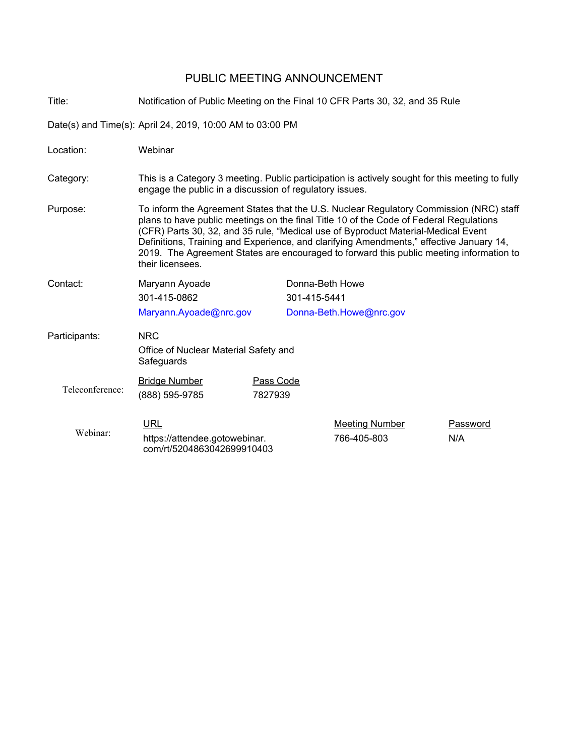# PUBLIC MEETING ANNOUNCEMENT

Title: Notification of Public Meeting on the Final 10 CFR Parts 30, 32, and 35 Rule

Date(s) and Time(s): April 24, 2019, 10:00 AM to 03:00 PM

| Location:       | Webinar                                                                                                                                                                                                                                                                                                                                                                                                                                                                         |                      |                         |                                      |                 |
|-----------------|---------------------------------------------------------------------------------------------------------------------------------------------------------------------------------------------------------------------------------------------------------------------------------------------------------------------------------------------------------------------------------------------------------------------------------------------------------------------------------|----------------------|-------------------------|--------------------------------------|-----------------|
| Category:       | This is a Category 3 meeting. Public participation is actively sought for this meeting to fully<br>engage the public in a discussion of regulatory issues.                                                                                                                                                                                                                                                                                                                      |                      |                         |                                      |                 |
| Purpose:        | To inform the Agreement States that the U.S. Nuclear Regulatory Commission (NRC) staff<br>plans to have public meetings on the final Title 10 of the Code of Federal Regulations<br>(CFR) Parts 30, 32, and 35 rule, "Medical use of Byproduct Material-Medical Event<br>Definitions, Training and Experience, and clarifying Amendments," effective January 14,<br>2019. The Agreement States are encouraged to forward this public meeting information to<br>their licensees. |                      |                         |                                      |                 |
| Contact:        | Maryann Ayoade                                                                                                                                                                                                                                                                                                                                                                                                                                                                  |                      | Donna-Beth Howe         |                                      |                 |
|                 | 301-415-0862                                                                                                                                                                                                                                                                                                                                                                                                                                                                    |                      | 301-415-5441            |                                      |                 |
|                 | Maryann.Ayoade@nrc.gov                                                                                                                                                                                                                                                                                                                                                                                                                                                          |                      | Donna-Beth.Howe@nrc.gov |                                      |                 |
| Participants:   | <b>NRC</b><br>Office of Nuclear Material Safety and<br>Safeguards                                                                                                                                                                                                                                                                                                                                                                                                               |                      |                         |                                      |                 |
| Teleconference: | <b>Bridge Number</b><br>(888) 595-9785                                                                                                                                                                                                                                                                                                                                                                                                                                          | Pass Code<br>7827939 |                         |                                      |                 |
| Webinar:        | <b>URL</b><br>https://attendee.gotowebinar.<br>com/rt/5204863042699910403                                                                                                                                                                                                                                                                                                                                                                                                       |                      |                         | <b>Meeting Number</b><br>766-405-803 | Password<br>N/A |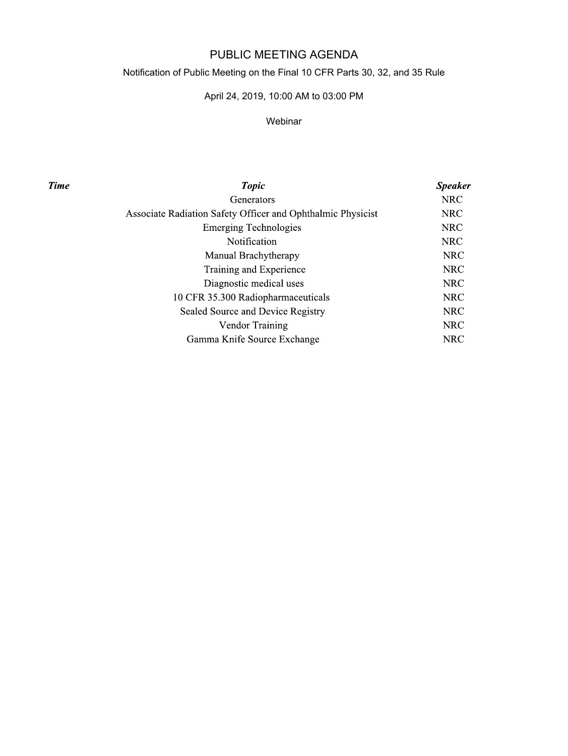## PUBLIC MEETING AGENDA

## Notification of Public Meeting on the Final 10 CFR Parts 30, 32, and 35 Rule

## April 24, 2019, 10:00 AM to 03:00 PM

#### Webinar

**Time** 

| <b>Topic</b>                                                | <b>Speaker</b> |
|-------------------------------------------------------------|----------------|
| Generators                                                  | <b>NRC</b>     |
| Associate Radiation Safety Officer and Ophthalmic Physicist | <b>NRC</b>     |
| <b>Emerging Technologies</b>                                | <b>NRC</b>     |
| <b>Notification</b>                                         | <b>NRC</b>     |
| Manual Brachytherapy                                        | <b>NRC</b>     |
| Training and Experience                                     | <b>NRC</b>     |
| Diagnostic medical uses                                     | <b>NRC</b>     |
| 10 CFR 35.300 Radiopharmaceuticals                          | <b>NRC</b>     |
| Sealed Source and Device Registry                           | <b>NRC</b>     |
| <b>Vendor Training</b>                                      | <b>NRC</b>     |
| Gamma Knife Source Exchange                                 | <b>NRC</b>     |
|                                                             |                |